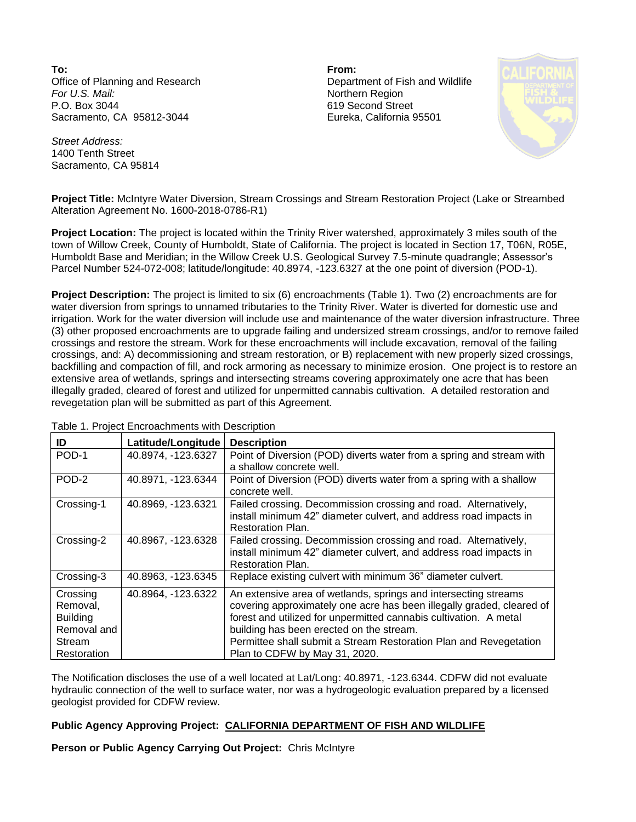**To: From:**  Office of Planning and Research Department of Fish and Wildlife *For U.S. Mail:* Northern Region P.O. Box 3044 Sacramento, CA 95812-3044

619 Second Street Eureka, California 95501



*Street Address:* 1400 Tenth Street Sacramento, CA 95814

**Project Title:** McIntyre Water Diversion, Stream Crossings and Stream Restoration Project (Lake or Streambed Alteration Agreement No. 1600-2018-0786-R1)

**Project Location:** The project is located within the Trinity River watershed, approximately 3 miles south of the town of Willow Creek, County of Humboldt, State of California. The project is located in Section 17, T06N, R05E, Humboldt Base and Meridian; in the Willow Creek U.S. Geological Survey 7.5-minute quadrangle; Assessor's Parcel Number 524-072-008; latitude/longitude: 40.8974, -123.6327 at the one point of diversion (POD-1).

**Project Description:** The project is limited to six (6) encroachments (Table 1). Two (2) encroachments are for water diversion from springs to unnamed tributaries to the Trinity River. Water is diverted for domestic use and irrigation. Work for the water diversion will include use and maintenance of the water diversion infrastructure. Three (3) other proposed encroachments are to upgrade failing and undersized stream crossings, and/or to remove failed crossings and restore the stream. Work for these encroachments will include excavation, removal of the failing crossings, and: A) decommissioning and stream restoration, or B) replacement with new properly sized crossings, backfilling and compaction of fill, and rock armoring as necessary to minimize erosion. One project is to restore an extensive area of wetlands, springs and intersecting streams covering approximately one acre that has been illegally graded, cleared of forest and utilized for unpermitted cannabis cultivation. A detailed restoration and revegetation plan will be submitted as part of this Agreement.

| ID              | Latitude/Longitude | <b>Description</b>                                                    |
|-----------------|--------------------|-----------------------------------------------------------------------|
| POD-1           | 40.8974, -123.6327 | Point of Diversion (POD) diverts water from a spring and stream with  |
|                 |                    | a shallow concrete well.                                              |
| POD-2           | 40.8971, -123.6344 | Point of Diversion (POD) diverts water from a spring with a shallow   |
|                 |                    | concrete well.                                                        |
| Crossing-1      | 40.8969, -123.6321 | Failed crossing. Decommission crossing and road. Alternatively,       |
|                 |                    | install minimum 42" diameter culvert, and address road impacts in     |
|                 |                    | <b>Restoration Plan.</b>                                              |
| Crossing-2      | 40.8967, -123.6328 | Failed crossing. Decommission crossing and road. Alternatively,       |
|                 |                    | install minimum 42" diameter culvert, and address road impacts in     |
|                 |                    | <b>Restoration Plan.</b>                                              |
| Crossing-3      | 40.8963, -123.6345 | Replace existing culvert with minimum 36" diameter culvert.           |
| Crossing        | 40.8964, -123.6322 | An extensive area of wetlands, springs and intersecting streams       |
| Removal,        |                    | covering approximately one acre has been illegally graded, cleared of |
| <b>Building</b> |                    | forest and utilized for unpermitted cannabis cultivation. A metal     |
| Removal and     |                    | building has been erected on the stream.                              |
| Stream          |                    | Permittee shall submit a Stream Restoration Plan and Revegetation     |
| Restoration     |                    | Plan to CDFW by May 31, 2020.                                         |

Table 1. Project Encroachments with Description

The Notification discloses the use of a well located at Lat/Long: 40.8971, -123.6344. CDFW did not evaluate hydraulic connection of the well to surface water, nor was a hydrogeologic evaluation prepared by a licensed geologist provided for CDFW review.

## **Public Agency Approving Project: CALIFORNIA DEPARTMENT OF FISH AND WILDLIFE**

**Person or Public Agency Carrying Out Project:** Chris McIntyre